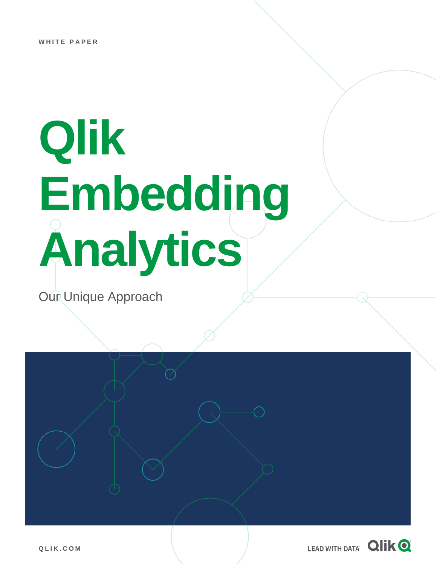# **Qlik Embedding Analytics**

Our Unique Approach



**Q L I K . C O M**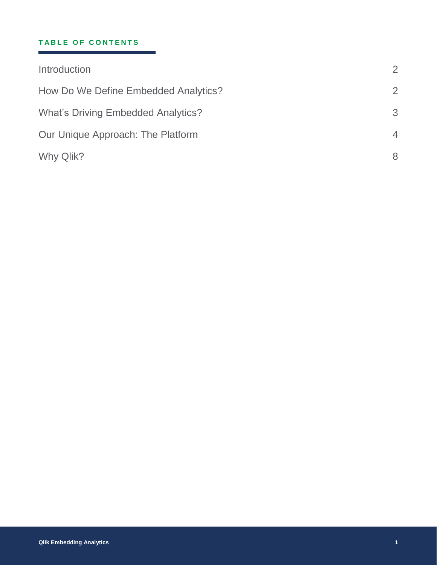#### **TABLE OF CONTENTS**

| 2              |
|----------------|
| $\overline{2}$ |
| 3              |
| $\overline{4}$ |
| 8              |
|                |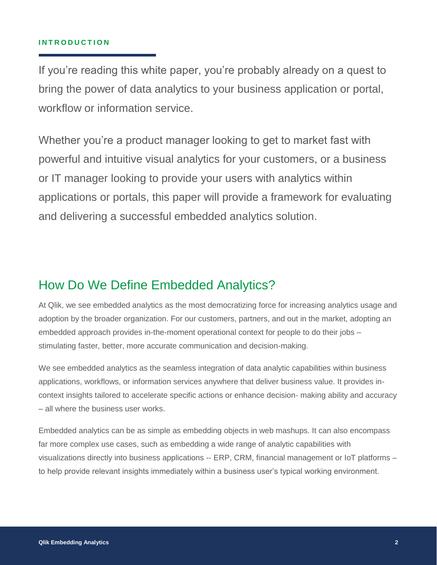#### **I N T R O D U C T I O N**

If you're reading this white paper, you're probably already on a quest to bring the power of data analytics to your business application or portal, workflow or information service.

Whether you're a product manager looking to get to market fast with powerful and intuitive visual analytics for your customers, or a business or IT manager looking to provide your users with analytics within applications or portals, this paper will provide a framework for evaluating and delivering a successful embedded analytics solution.

### How Do We Define Embedded Analytics?

At Qlik, we see embedded analytics as the most democratizing force for increasing analytics usage and adoption by the broader organization. For our customers, partners, and out in the market, adopting an embedded approach provides in-the-moment operational context for people to do their jobs – stimulating faster, better, more accurate communication and decision-making.

We see embedded analytics as the seamless integration of data analytic capabilities within business applications, workflows, or information services anywhere that deliver business value. It provides incontext insights tailored to accelerate specific actions or enhance decision- making ability and accuracy – all where the business user works.

Embedded analytics can be as simple as embedding objects in web mashups. It can also encompass far more complex use cases, such as embedding a wide range of analytic capabilities with visualizations directly into business applications -- ERP, CRM, financial management or IoT platforms – to help provide relevant insights immediately within a business user's typical working environment.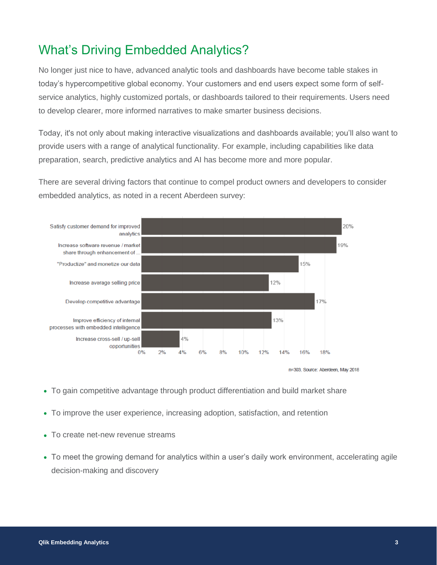## What's Driving Embedded Analytics?

No longer just nice to have, advanced analytic tools and dashboards have become table stakes in today's hypercompetitive global economy. Your customers and end users expect some form of selfservice analytics, highly customized portals, or dashboards tailored to their requirements. Users need to develop clearer, more informed narratives to make smarter business decisions.

Today, it's not only about making interactive visualizations and dashboards available; you'll also want to provide users with a range of analytical functionality. For example, including capabilities like data preparation, search, predictive analytics and AI has become more and more popular.

There are several driving factors that continue to compel product owners and developers to consider embedded analytics, as noted in a recent Aberdeen survey:





- To gain competitive advantage through product differentiation and build market share
- To improve the user experience, increasing adoption, satisfaction, and retention
- To create net-new revenue streams
- To meet the growing demand for analytics within a user's daily work environment, accelerating agile decision-making and discovery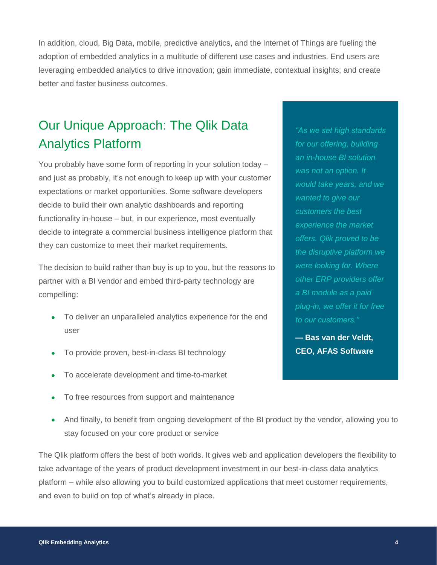In addition, cloud, Big Data, mobile, predictive analytics, and the Internet of Things are fueling the adoption of embedded analytics in a multitude of different use cases and industries. End users are leveraging embedded analytics to drive innovation; gain immediate, contextual insights; and create better and faster business outcomes.

## Our Unique Approach: The Qlik Data Analytics Platform

You probably have some form of reporting in your solution today – and just as probably, it's not enough to keep up with your customer expectations or market opportunities. Some software developers decide to build their own analytic dashboards and reporting functionality in-house – but, in our experience, most eventually decide to integrate a commercial business intelligence platform that they can customize to meet their market requirements.

The decision to build rather than buy is up to you, but the reasons to partner with a BI vendor and embed third-party technology are compelling:

- To deliver an unparalleled analytics experience for the end user
- To provide proven, best-in-class BI technology
- To accelerate development and time-to-market
- To free resources from support and maintenance
- And finally, to benefit from ongoing development of the BI product by the vendor, allowing you to stay focused on your core product or service

The Qlik platform offers the best of both worlds. It gives web and application developers the flexibility to take advantage of the years of product development investment in our best-in-class data analytics platform – while also allowing you to build customized applications that meet customer requirements, and even to build on top of what's already in place.

*"As we set high standards for our offering, building an in-house BI solution was not an option. It would take years, and we wanted to give our customers the best experience the market offers. Qlik proved to be the disruptive platform we were looking for. Where other ERP providers offer a BI module as a paid plug-in, we offer it for free to our customers."*

**— Bas van der Veldt, CEO, AFAS Software**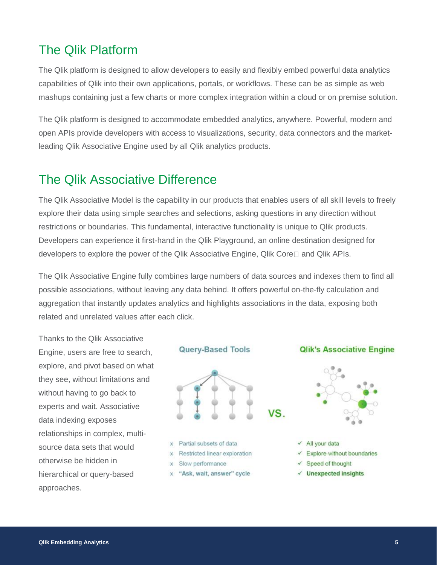## The Qlik Platform

The Qlik platform is designed to allow developers to easily and flexibly embed powerful data analytics capabilities of Qlik into their own applications, portals, or workflows. These can be as simple as web mashups containing just a few charts or more complex integration within a cloud or on premise solution.

The Qlik platform is designed to accommodate embedded analytics, anywhere. Powerful, modern and open APIs provide developers with access to visualizations, security, data connectors and the marketleading Qlik Associative Engine used by all Qlik analytics products.

## The Qlik Associative Difference

The Qlik Associative Model is the capability in our products that enables users of all skill levels to freely explore their data using simple searches and selections, asking questions in any direction without restrictions or boundaries. This fundamental, interactive functionality is unique to Qlik products. Developers can experience it first-hand in the Qlik Playground, an online destination designed for developers to explore the power of the Qlik Associative Engine, Qlik Core and Qlik APIs.

The Qlik Associative Engine fully combines large numbers of data sources and indexes them to find all possible associations, without leaving any data behind. It offers powerful on-the-fly calculation and aggregation that instantly updates analytics and highlights associations in the data, exposing both related and unrelated values after each click.

Thanks to the Qlik Associative Engine, users are free to search, explore, and pivot based on what they see, without limitations and without having to go back to experts and wait. Associative data indexing exposes relationships in complex, multisource data sets that would otherwise be hidden in hierarchical or query-based approaches.





- x Partial subsets of data
- x Restricted linear exploration
- x Slow performance
- x "Ask, wait, answer" cycle

#### **Qlik's Associative Engine**



 $\checkmark$  All your data

- $\checkmark$  Explore without boundaries
- $\checkmark$  Speed of thought
- $\checkmark$  Unexpected insights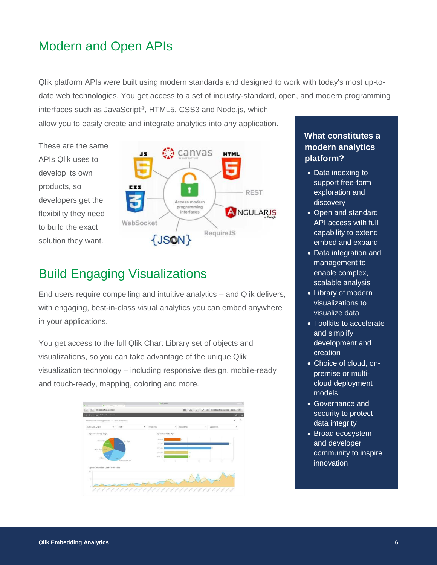## Modern and Open APIs

Qlik platform APIs were built using modern standards and designed to work with today's most up-todate web technologies. You get access to a set of industry-standard, open, and modern programming

interfaces such as JavaScript<sup>®</sup>, HTML5, CSS3 and Node.js, which allow you to easily create and integrate analytics into any application.

These are the same APIs Qlik uses to develop its own products, so developers get the flexibility they need to build the exact solution they want.



# Build Engaging Visualizations

End users require compelling and intuitive analytics – and Qlik delivers, with engaging, best-in-class visual analytics you can embed anywhere in your applications.

You get access to the full Qlik Chart Library set of objects and visualizations, so you can take advantage of the unique Qlik visualization technology – including responsive design, mobile-ready and touch-ready, mapping, coloring and more.



#### **What constitutes a modern analytics platform?**

- Data indexing to support free-form exploration and discovery
- Open and standard API access with full capability to extend, embed and expand
- Data integration and management to enable complex, scalable analysis
- Library of modern visualizations to visualize data
- Toolkits to accelerate and simplify development and creation
- Choice of cloud, onpremise or multicloud deployment models
- Governance and security to protect data integrity
- Broad ecosystem and developer community to inspire innovation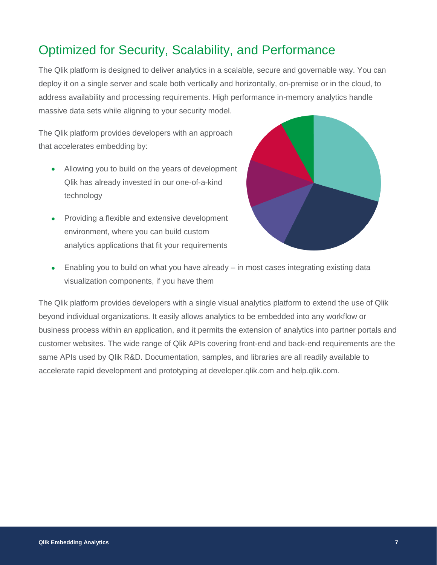## Optimized for Security, Scalability, and Performance

The Qlik platform is designed to deliver analytics in a scalable, secure and governable way. You can deploy it on a single server and scale both vertically and horizontally, on-premise or in the cloud, to address availability and processing requirements. High performance in-memory analytics handle massive data sets while aligning to your security model.

The Qlik platform provides developers with an approach that accelerates embedding by:

- Allowing you to build on the years of development Qlik has already invested in our one-of-a-kind technology
- Providing a flexible and extensive development environment, where you can build custom analytics applications that fit your requirements



 Enabling you to build on what you have already – in most cases integrating existing data visualization components, if you have them

The Qlik platform provides developers with a single visual analytics platform to extend the use of Qlik beyond individual organizations. It easily allows analytics to be embedded into any workflow or business process within an application, and it permits the extension of analytics into partner portals and customer websites. The wide range of Qlik APIs covering front-end and back-end requirements are the same APIs used by Qlik R&D. Documentation, samples, and libraries are all readily available to accelerate rapid development and prototyping at developer.qlik.com and help.qlik.com.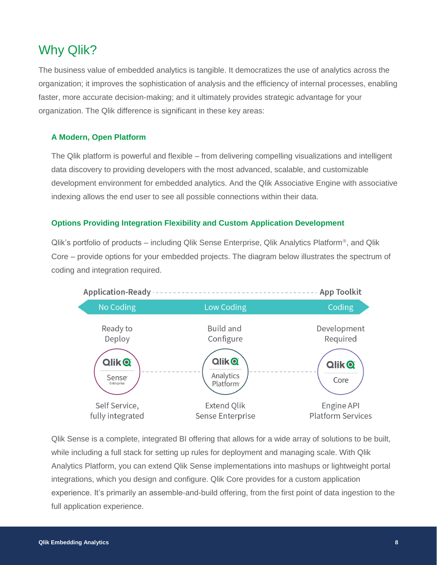## Why Qlik?

The business value of embedded analytics is tangible. It democratizes the use of analytics across the organization; it improves the sophistication of analysis and the efficiency of internal processes, enabling faster, more accurate decision-making; and it ultimately provides strategic advantage for your organization. The Qlik difference is significant in these key areas:

#### **A Modern, Open Platform**

The Qlik platform is powerful and flexible – from delivering compelling visualizations and intelligent data discovery to providing developers with the most advanced, scalable, and customizable development environment for embedded analytics. And the Qlik Associative Engine with associative indexing allows the end user to see all possible connections within their data.

#### **Options Providing Integration Flexibility and Custom Application Development**

Qlik's portfolio of products – including Qlik Sense Enterprise, Qlik Analytics Platform<sup>®</sup>, and Qlik Core – provide options for your embedded projects. The diagram below illustrates the spectrum of coding and integration required.



Qlik Sense is a complete, integrated BI offering that allows for a wide array of solutions to be built, while including a full stack for setting up rules for deployment and managing scale. With Qlik Analytics Platform, you can extend Qlik Sense implementations into mashups or lightweight portal integrations, which you design and configure. Qlik Core provides for a custom application experience. It's primarily an assemble-and-build offering, from the first point of data ingestion to the full application experience.